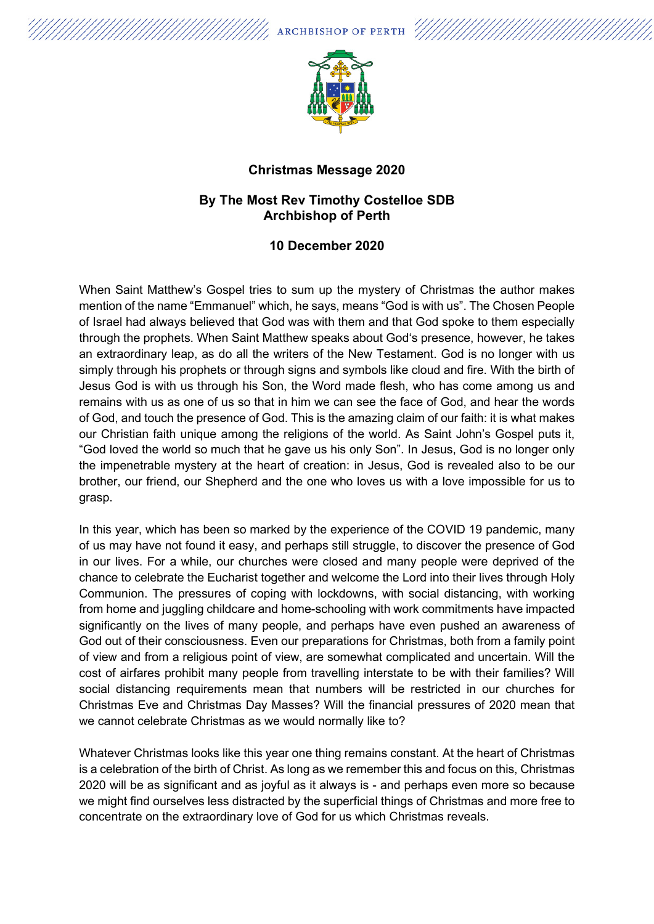**ARCHBISHOP OF PERTH** 



## **Christmas Message 2020**

## **By The Most Rev Timothy Costelloe SDB Archbishop of Perth**

## **10 December 2020**

When Saint Matthew's Gospel tries to sum up the mystery of Christmas the author makes mention of the name "Emmanuel" which, he says, means "God is with us". The Chosen People of Israel had always believed that God was with them and that God spoke to them especially through the prophets. When Saint Matthew speaks about God's presence, however, he takes an extraordinary leap, as do all the writers of the New Testament. God is no longer with us simply through his prophets or through signs and symbols like cloud and fire. With the birth of Jesus God is with us through his Son, the Word made flesh, who has come among us and remains with us as one of us so that in him we can see the face of God, and hear the words of God, and touch the presence of God. This is the amazing claim of our faith: it is what makes our Christian faith unique among the religions of the world. As Saint John's Gospel puts it, "God loved the world so much that he gave us his only Son". In Jesus, God is no longer only the impenetrable mystery at the heart of creation: in Jesus, God is revealed also to be our brother, our friend, our Shepherd and the one who loves us with a love impossible for us to grasp.

In this year, which has been so marked by the experience of the COVID 19 pandemic, many of us may have not found it easy, and perhaps still struggle, to discover the presence of God in our lives. For a while, our churches were closed and many people were deprived of the chance to celebrate the Eucharist together and welcome the Lord into their lives through Holy Communion. The pressures of coping with lockdowns, with social distancing, with working from home and juggling childcare and home-schooling with work commitments have impacted significantly on the lives of many people, and perhaps have even pushed an awareness of God out of their consciousness. Even our preparations for Christmas, both from a family point of view and from a religious point of view, are somewhat complicated and uncertain. Will the cost of airfares prohibit many people from travelling interstate to be with their families? Will social distancing requirements mean that numbers will be restricted in our churches for Christmas Eve and Christmas Day Masses? Will the financial pressures of 2020 mean that we cannot celebrate Christmas as we would normally like to?

Whatever Christmas looks like this year one thing remains constant. At the heart of Christmas is a celebration of the birth of Christ. As long as we remember this and focus on this, Christmas 2020 will be as significant and as joyful as it always is - and perhaps even more so because we might find ourselves less distracted by the superficial things of Christmas and more free to concentrate on the extraordinary love of God for us which Christmas reveals.